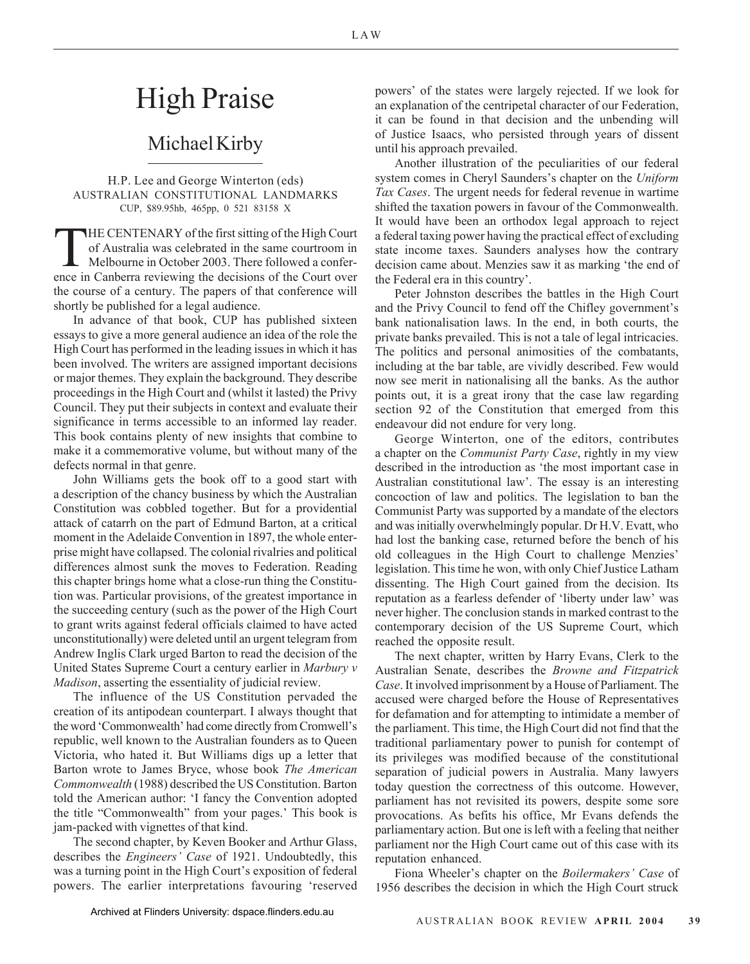LAW

## High Praise

## Michael Kirby

## H.P. Lee and George Winterton (eds) AUSTRALIAN CONSTITUTIONAL LANDMARKS CUP, \$89.95hb, 465pp, 0 521 83158 X

THE CENTENARY of the first sitting of the High Court<br>of Australia was celebrated in the same courtroom in<br>Melbourne in October 2003. There followed a confer-<br>ence in Canberra reviewing the decisions of the Court over of Australia was celebrated in the same courtroom in Melbourne in October 2003. There followed a conference in Canberra reviewing the decisions of the Court over the course of a century. The papers of that conference will shortly be published for a legal audience.

In advance of that book, CUP has published sixteen essays to give a more general audience an idea of the role the High Court has performed in the leading issues in which it has been involved. The writers are assigned important decisions or major themes. They explain the background. They describe proceedings in the High Court and (whilst it lasted) the Privy Council. They put their subjects in context and evaluate their significance in terms accessible to an informed lay reader. This book contains plenty of new insights that combine to make it a commemorative volume, but without many of the defects normal in that genre.

John Williams gets the book off to a good start with a description of the chancy business by which the Australian Constitution was cobbled together. But for a providential attack of catarrh on the part of Edmund Barton, at a critical moment in the Adelaide Convention in 1897, the whole enterprise might have collapsed. The colonial rivalries and political differences almost sunk the moves to Federation. Reading this chapter brings home what a close-run thing the Constitution was. Particular provisions, of the greatest importance in the succeeding century (such as the power of the High Court to grant writs against federal officials claimed to have acted unconstitutionally) were deleted until an urgent telegram from Andrew Inglis Clark urged Barton to read the decision of the United States Supreme Court a century earlier in *Marbury v Madison*, asserting the essentiality of judicial review.

The influence of the US Constitution pervaded the creation of its antipodean counterpart. I always thought that the word 'Commonwealth' had come directly from Cromwell's republic, well known to the Australian founders as to Queen Victoria, who hated it. But Williams digs up a letter that Barton wrote to James Bryce, whose book *The American Commonwealth* (1988) described the US Constitution. Barton told the American author: 'I fancy the Convention adopted the title "Commonwealth" from your pages.' This book is jam-packed with vignettes of that kind.

The second chapter, by Keven Booker and Arthur Glass, describes the *Engineers' Case* of 1921. Undoubtedly, this was a turning point in the High Court's exposition of federal powers. The earlier interpretations favouring 'reserved powers' of the states were largely rejected. If we look for an explanation of the centripetal character of our Federation, it can be found in that decision and the unbending will of Justice Isaacs, who persisted through years of dissent until his approach prevailed.

Another illustration of the peculiarities of our federal system comes in Cheryl Saunders's chapter on the *Uniform Tax Cases*. The urgent needs for federal revenue in wartime shifted the taxation powers in favour of the Commonwealth. It would have been an orthodox legal approach to reject a federal taxing power having the practical effect of excluding state income taxes. Saunders analyses how the contrary decision came about. Menzies saw it as marking 'the end of the Federal era in this country'.

Peter Johnston describes the battles in the High Court and the Privy Council to fend off the Chifley government's bank nationalisation laws. In the end, in both courts, the private banks prevailed. This is not a tale of legal intricacies. The politics and personal animosities of the combatants, including at the bar table, are vividly described. Few would now see merit in nationalising all the banks. As the author points out, it is a great irony that the case law regarding section 92 of the Constitution that emerged from this endeavour did not endure for very long.

George Winterton, one of the editors, contributes a chapter on the *Communist Party Case*, rightly in my view described in the introduction as 'the most important case in Australian constitutional law'. The essay is an interesting concoction of law and politics. The legislation to ban the Communist Party was supported by a mandate of the electors and was initially overwhelmingly popular. Dr H.V. Evatt, who had lost the banking case, returned before the bench of his old colleagues in the High Court to challenge Menzies' legislation. This time he won, with only Chief Justice Latham dissenting. The High Court gained from the decision. Its reputation as a fearless defender of 'liberty under law' was never higher. The conclusion stands in marked contrast to the contemporary decision of the US Supreme Court, which reached the opposite result.

The next chapter, written by Harry Evans, Clerk to the Australian Senate, describes the *Browne and Fitzpatrick Case*. It involved imprisonment by a House of Parliament. The accused were charged before the House of Representatives for defamation and for attempting to intimidate a member of the parliament. This time, the High Court did not find that the traditional parliamentary power to punish for contempt of its privileges was modified because of the constitutional separation of judicial powers in Australia. Many lawyers today question the correctness of this outcome. However, parliament has not revisited its powers, despite some sore provocations. As befits his office, Mr Evans defends the parliamentary action. But one is left with a feeling that neither parliament nor the High Court came out of this case with its reputation enhanced.

Fiona Wheeler's chapter on the *Boilermakers' Case* of 1956 describes the decision in which the High Court struck